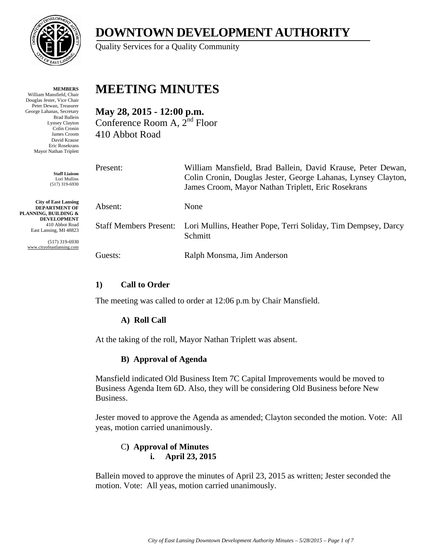

**MEMBERS** William Mansfield, Chair Douglas Jester, Vice Chair Peter Dewan, Treasurer George Lahanas, Secretary Brad Ballein Lynsey Clayton Colin Cronin James Croom David Krause Eric Rosekrans Mayor Nathan Triplett

> **Staff Liaison** Lori Mullins (517) 319-6930

**City of East Lansing DEPARTMENT OF PLANNING, BUILDING & DEVELOPMENT** 410 Abbot Road East Lansing, MI 48823

> (517) 319-6930 www.cityofeastlansing.com

# **DOWNTOWN DEVELOPMENT AUTHORITY**

Quality Services for a Quality Community

## **MEETING MINUTES**

**May 28, 2015 - 12:00 p.m.**  Conference Room A, 2nd Floor 410 Abbot Road

| Present:                      | William Mansfield, Brad Ballein, David Krause, Peter Dewan,<br>Colin Cronin, Douglas Jester, George Lahanas, Lynsey Clayton,<br>James Croom, Mayor Nathan Triplett, Eric Rosekrans |
|-------------------------------|------------------------------------------------------------------------------------------------------------------------------------------------------------------------------------|
| Absent:                       | None                                                                                                                                                                               |
| <b>Staff Members Present:</b> | Lori Mullins, Heather Pope, Terri Soliday, Tim Dempsey, Darcy<br>Schmitt                                                                                                           |
| Guests:                       | Ralph Monsma, Jim Anderson                                                                                                                                                         |

## **1) Call to Order**

The meeting was called to order at 12:06 p.m. by Chair Mansfield.

## **A) Roll Call**

At the taking of the roll, Mayor Nathan Triplett was absent.

## **B) Approval of Agenda**

Mansfield indicated Old Business Item 7C Capital Improvements would be moved to Business Agenda Item 6D. Also, they will be considering Old Business before New Business.

Jester moved to approve the Agenda as amended; Clayton seconded the motion. Vote: All yeas, motion carried unanimously.

## C**) Approval of Minutes i. April 23, 2015**

Ballein moved to approve the minutes of April 23, 2015 as written; Jester seconded the motion. Vote: All yeas, motion carried unanimously.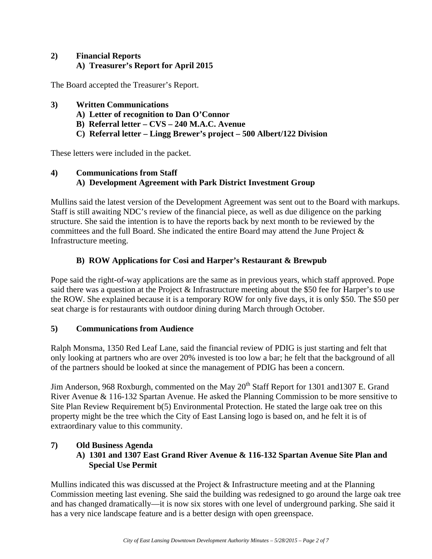## **2) Financial Reports A) Treasurer's Report for April 2015**

The Board accepted the Treasurer's Report.

- **3) Written Communications** 
	- **A) Letter of recognition to Dan O'Connor**
	- **B) Referral letter CVS 240 M.A.C. Avenue**
	- **C) Referral letter Lingg Brewer's project 500 Albert/122 Division**

These letters were included in the packet.

## **4) Communications from Staff A) Development Agreement with Park District Investment Group**

Mullins said the latest version of the Development Agreement was sent out to the Board with markups. Staff is still awaiting NDC's review of the financial piece, as well as due diligence on the parking structure. She said the intention is to have the reports back by next month to be reviewed by the committees and the full Board. She indicated the entire Board may attend the June Project & Infrastructure meeting.

## **B) ROW Applications for Cosi and Harper's Restaurant & Brewpub**

Pope said the right-of-way applications are the same as in previous years, which staff approved. Pope said there was a question at the Project & Infrastructure meeting about the \$50 fee for Harper's to use the ROW. She explained because it is a temporary ROW for only five days, it is only \$50. The \$50 per seat charge is for restaurants with outdoor dining during March through October.

## **5) Communications from Audience**

Ralph Monsma, 1350 Red Leaf Lane, said the financial review of PDIG is just starting and felt that only looking at partners who are over 20% invested is too low a bar; he felt that the background of all of the partners should be looked at since the management of PDIG has been a concern.

Jim Anderson, 968 Roxburgh, commented on the May 20<sup>th</sup> Staff Report for 1301 and 1307 E. Grand River Avenue & 116-132 Spartan Avenue. He asked the Planning Commission to be more sensitive to Site Plan Review Requirement b(5) Environmental Protection. He stated the large oak tree on this property might be the tree which the City of East Lansing logo is based on, and he felt it is of extraordinary value to this community.

## **7) Old Business Agenda**

**A) 1301 and 1307 East Grand River Avenue & 116-132 Spartan Avenue Site Plan and Special Use Permit** 

Mullins indicated this was discussed at the Project & Infrastructure meeting and at the Planning Commission meeting last evening. She said the building was redesigned to go around the large oak tree and has changed dramatically—it is now six stores with one level of underground parking. She said it has a very nice landscape feature and is a better design with open greenspace.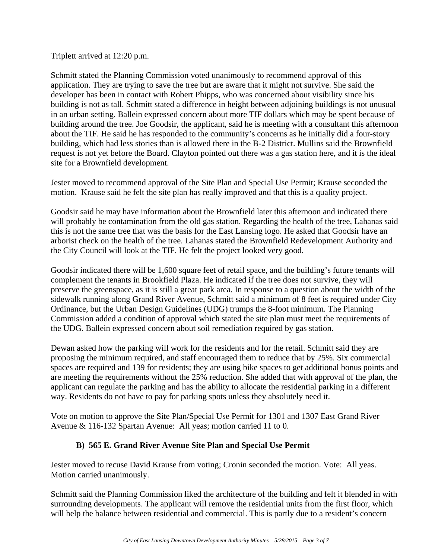#### Triplett arrived at 12:20 p.m.

Schmitt stated the Planning Commission voted unanimously to recommend approval of this application. They are trying to save the tree but are aware that it might not survive. She said the developer has been in contact with Robert Phipps, who was concerned about visibility since his building is not as tall. Schmitt stated a difference in height between adjoining buildings is not unusual in an urban setting. Ballein expressed concern about more TIF dollars which may be spent because of building around the tree. Joe Goodsir, the applicant, said he is meeting with a consultant this afternoon about the TIF. He said he has responded to the community's concerns as he initially did a four-story building, which had less stories than is allowed there in the B-2 District. Mullins said the Brownfield request is not yet before the Board. Clayton pointed out there was a gas station here, and it is the ideal site for a Brownfield development.

Jester moved to recommend approval of the Site Plan and Special Use Permit; Krause seconded the motion. Krause said he felt the site plan has really improved and that this is a quality project.

Goodsir said he may have information about the Brownfield later this afternoon and indicated there will probably be contamination from the old gas station. Regarding the health of the tree, Lahanas said this is not the same tree that was the basis for the East Lansing logo. He asked that Goodsir have an arborist check on the health of the tree. Lahanas stated the Brownfield Redevelopment Authority and the City Council will look at the TIF. He felt the project looked very good.

Goodsir indicated there will be 1,600 square feet of retail space, and the building's future tenants will complement the tenants in Brookfield Plaza. He indicated if the tree does not survive, they will preserve the greenspace, as it is still a great park area. In response to a question about the width of the sidewalk running along Grand River Avenue, Schmitt said a minimum of 8 feet is required under City Ordinance, but the Urban Design Guidelines (UDG) trumps the 8-foot minimum. The Planning Commission added a condition of approval which stated the site plan must meet the requirements of the UDG. Ballein expressed concern about soil remediation required by gas station.

Dewan asked how the parking will work for the residents and for the retail. Schmitt said they are proposing the minimum required, and staff encouraged them to reduce that by 25%. Six commercial spaces are required and 139 for residents; they are using bike spaces to get additional bonus points and are meeting the requirements without the 25% reduction. She added that with approval of the plan, the applicant can regulate the parking and has the ability to allocate the residential parking in a different way. Residents do not have to pay for parking spots unless they absolutely need it.

Vote on motion to approve the Site Plan/Special Use Permit for 1301 and 1307 East Grand River Avenue & 116-132 Spartan Avenue: All yeas; motion carried 11 to 0.

#### **B) 565 E. Grand River Avenue Site Plan and Special Use Permit**

Jester moved to recuse David Krause from voting; Cronin seconded the motion. Vote: All yeas. Motion carried unanimously.

Schmitt said the Planning Commission liked the architecture of the building and felt it blended in with surrounding developments. The applicant will remove the residential units from the first floor, which will help the balance between residential and commercial. This is partly due to a resident's concern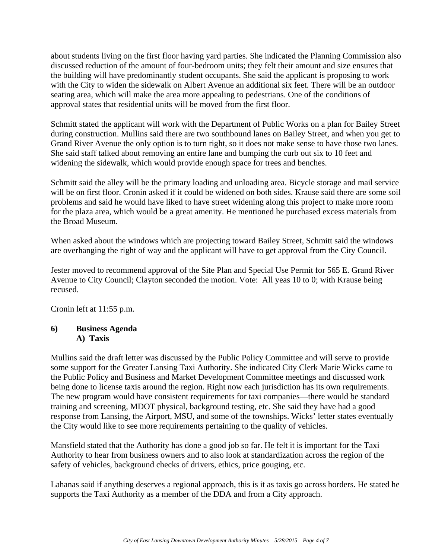about students living on the first floor having yard parties. She indicated the Planning Commission also discussed reduction of the amount of four-bedroom units; they felt their amount and size ensures that the building will have predominantly student occupants. She said the applicant is proposing to work with the City to widen the sidewalk on Albert Avenue an additional six feet. There will be an outdoor seating area, which will make the area more appealing to pedestrians. One of the conditions of approval states that residential units will be moved from the first floor.

Schmitt stated the applicant will work with the Department of Public Works on a plan for Bailey Street during construction. Mullins said there are two southbound lanes on Bailey Street, and when you get to Grand River Avenue the only option is to turn right, so it does not make sense to have those two lanes. She said staff talked about removing an entire lane and bumping the curb out six to 10 feet and widening the sidewalk, which would provide enough space for trees and benches.

Schmitt said the alley will be the primary loading and unloading area. Bicycle storage and mail service will be on first floor. Cronin asked if it could be widened on both sides. Krause said there are some soil problems and said he would have liked to have street widening along this project to make more room for the plaza area, which would be a great amenity. He mentioned he purchased excess materials from the Broad Museum.

When asked about the windows which are projecting toward Bailey Street, Schmitt said the windows are overhanging the right of way and the applicant will have to get approval from the City Council.

Jester moved to recommend approval of the Site Plan and Special Use Permit for 565 E. Grand River Avenue to City Council; Clayton seconded the motion. Vote: All yeas 10 to 0; with Krause being recused.

Cronin left at 11:55 p.m.

#### **6) Business Agenda A) Taxis**

Mullins said the draft letter was discussed by the Public Policy Committee and will serve to provide some support for the Greater Lansing Taxi Authority. She indicated City Clerk Marie Wicks came to the Public Policy and Business and Market Development Committee meetings and discussed work being done to license taxis around the region. Right now each jurisdiction has its own requirements. The new program would have consistent requirements for taxi companies—there would be standard training and screening, MDOT physical, background testing, etc. She said they have had a good response from Lansing, the Airport, MSU, and some of the townships. Wicks' letter states eventually the City would like to see more requirements pertaining to the quality of vehicles.

Mansfield stated that the Authority has done a good job so far. He felt it is important for the Taxi Authority to hear from business owners and to also look at standardization across the region of the safety of vehicles, background checks of drivers, ethics, price gouging, etc.

Lahanas said if anything deserves a regional approach, this is it as taxis go across borders. He stated he supports the Taxi Authority as a member of the DDA and from a City approach.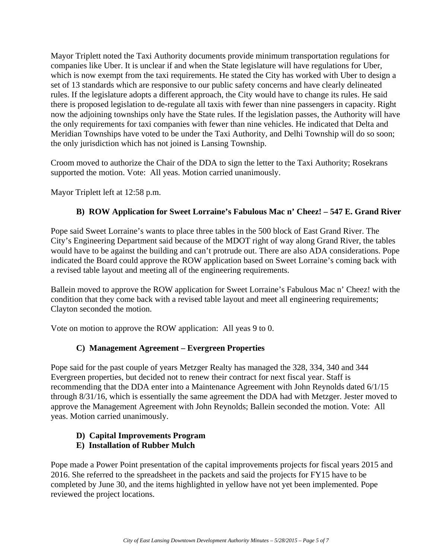Mayor Triplett noted the Taxi Authority documents provide minimum transportation regulations for companies like Uber. It is unclear if and when the State legislature will have regulations for Uber, which is now exempt from the taxi requirements. He stated the City has worked with Uber to design a set of 13 standards which are responsive to our public safety concerns and have clearly delineated rules. If the legislature adopts a different approach, the City would have to change its rules. He said there is proposed legislation to de-regulate all taxis with fewer than nine passengers in capacity. Right now the adjoining townships only have the State rules. If the legislation passes, the Authority will have the only requirements for taxi companies with fewer than nine vehicles. He indicated that Delta and Meridian Townships have voted to be under the Taxi Authority, and Delhi Township will do so soon; the only jurisdiction which has not joined is Lansing Township.

Croom moved to authorize the Chair of the DDA to sign the letter to the Taxi Authority; Rosekrans supported the motion. Vote: All yeas. Motion carried unanimously.

Mayor Triplett left at 12:58 p.m.

## **B) ROW Application for Sweet Lorraine's Fabulous Mac n' Cheez! – 547 E. Grand River**

Pope said Sweet Lorraine's wants to place three tables in the 500 block of East Grand River. The City's Engineering Department said because of the MDOT right of way along Grand River, the tables would have to be against the building and can't protrude out. There are also ADA considerations. Pope indicated the Board could approve the ROW application based on Sweet Lorraine's coming back with a revised table layout and meeting all of the engineering requirements.

Ballein moved to approve the ROW application for Sweet Lorraine's Fabulous Mac n' Cheez! with the condition that they come back with a revised table layout and meet all engineering requirements; Clayton seconded the motion.

Vote on motion to approve the ROW application: All yeas 9 to 0.

## **C) Management Agreement – Evergreen Properties**

Pope said for the past couple of years Metzger Realty has managed the 328, 334, 340 and 344 Evergreen properties, but decided not to renew their contract for next fiscal year. Staff is recommending that the DDA enter into a Maintenance Agreement with John Reynolds dated 6/1/15 through 8/31/16, which is essentially the same agreement the DDA had with Metzger. Jester moved to approve the Management Agreement with John Reynolds; Ballein seconded the motion. Vote: All yeas. Motion carried unanimously.

## **D) Capital Improvements Program**

#### **E) Installation of Rubber Mulch**

Pope made a Power Point presentation of the capital improvements projects for fiscal years 2015 and 2016. She referred to the spreadsheet in the packets and said the projects for FY15 have to be completed by June 30, and the items highlighted in yellow have not yet been implemented. Pope reviewed the project locations.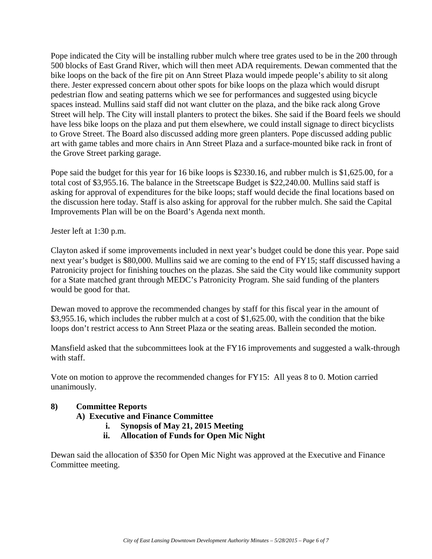Pope indicated the City will be installing rubber mulch where tree grates used to be in the 200 through 500 blocks of East Grand River, which will then meet ADA requirements. Dewan commented that the bike loops on the back of the fire pit on Ann Street Plaza would impede people's ability to sit along there. Jester expressed concern about other spots for bike loops on the plaza which would disrupt pedestrian flow and seating patterns which we see for performances and suggested using bicycle spaces instead. Mullins said staff did not want clutter on the plaza, and the bike rack along Grove Street will help. The City will install planters to protect the bikes. She said if the Board feels we should have less bike loops on the plaza and put them elsewhere, we could install signage to direct bicyclists to Grove Street. The Board also discussed adding more green planters. Pope discussed adding public art with game tables and more chairs in Ann Street Plaza and a surface-mounted bike rack in front of the Grove Street parking garage.

Pope said the budget for this year for 16 bike loops is \$2330.16, and rubber mulch is \$1,625.00, for a total cost of \$3,955.16. The balance in the Streetscape Budget is \$22,240.00. Mullins said staff is asking for approval of expenditures for the bike loops; staff would decide the final locations based on the discussion here today. Staff is also asking for approval for the rubber mulch. She said the Capital Improvements Plan will be on the Board's Agenda next month.

Jester left at 1:30 p.m.

Clayton asked if some improvements included in next year's budget could be done this year. Pope said next year's budget is \$80,000. Mullins said we are coming to the end of FY15; staff discussed having a Patronicity project for finishing touches on the plazas. She said the City would like community support for a State matched grant through MEDC's Patronicity Program. She said funding of the planters would be good for that.

Dewan moved to approve the recommended changes by staff for this fiscal year in the amount of \$3,955.16, which includes the rubber mulch at a cost of \$1,625.00, with the condition that the bike loops don't restrict access to Ann Street Plaza or the seating areas. Ballein seconded the motion.

Mansfield asked that the subcommittees look at the FY16 improvements and suggested a walk-through with staff.

Vote on motion to approve the recommended changes for FY15: All yeas 8 to 0. Motion carried unanimously.

#### **8) Committee Reports**

**A) Executive and Finance Committee** 

- **i. Synopsis of May 21, 2015 Meeting**
- **ii. Allocation of Funds for Open Mic Night**

Dewan said the allocation of \$350 for Open Mic Night was approved at the Executive and Finance Committee meeting.